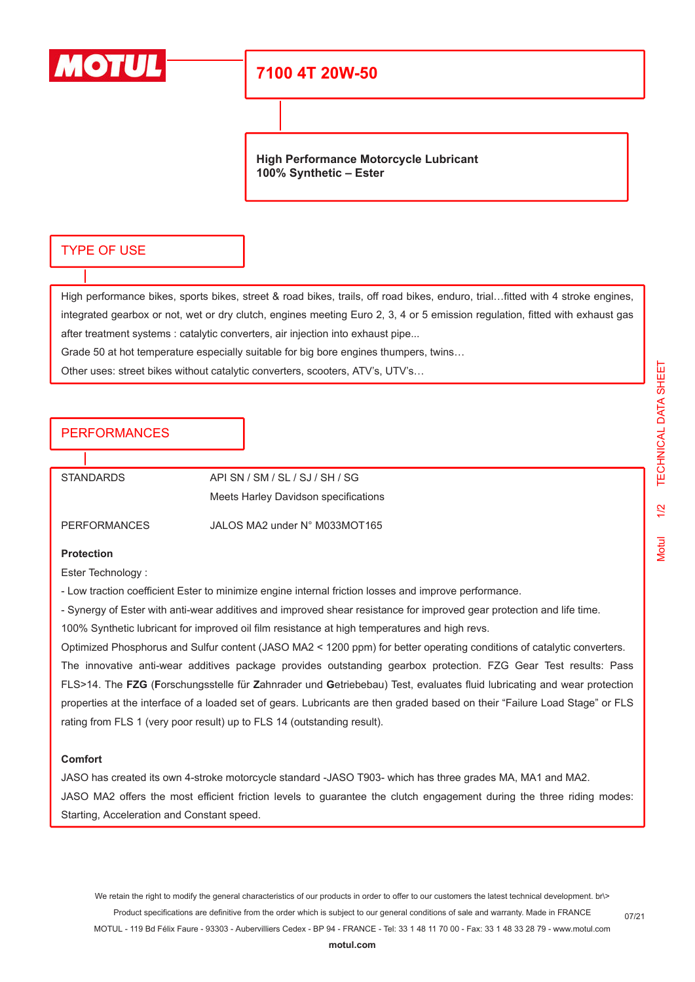

# **7100 4T 20W-50**

**High Performance Motorcycle Lubricant 100% Synthetic – Ester**

### TYPE OF USE

High performance bikes, sports bikes, street & road bikes, trails, off road bikes, enduro, trial…fitted with 4 stroke engines, integrated gearbox or not, wet or dry clutch, engines meeting Euro 2, 3, 4 or 5 emission regulation, fitted with exhaust gas after treatment systems : catalytic converters, air injection into exhaust pipe...

Grade 50 at hot temperature especially suitable for big bore engines thumpers, twins…

Other uses: street bikes without catalytic converters, scooters, ATV's, UTV's…

## PERFORMANCES

STANDARDS API SN / SM / SL / SJ / SH / SG Meets Harley Davidson specifications

PERFORMANCES JALOS MA2 under N° M033MOT165

#### **Protection**

Ester Technology :

- Low traction coefficient Ester to minimize engine internal friction losses and improve performance.

- Synergy of Ester with anti-wear additives and improved shear resistance for improved gear protection and life time.

100% Synthetic lubricant for improved oil film resistance at high temperatures and high revs.

Optimized Phosphorus and Sulfur content (JASO MA2 < 1200 ppm) for better operating conditions of catalytic converters. The innovative anti-wear additives package provides outstanding gearbox protection. FZG Gear Test results: Pass FLS>14. The **FZG** (**F**orschungsstelle für **Z**ahnrader und **G**etriebebau) Test, evaluates fluid lubricating and wear protection properties at the interface of a loaded set of gears. Lubricants are then graded based on their "Failure Load Stage" or FLS rating from FLS 1 (very poor result) up to FLS 14 (outstanding result).

#### **Comfort**

JASO has created its own 4-stroke motorcycle standard -JASO T903- which has three grades MA, MA1 and MA2. JASO MA2 offers the most efficient friction levels to guarantee the clutch engagement during the three riding modes: Starting, Acceleration and Constant speed.

We retain the right to modify the general characteristics of our products in order to offer to our customers the latest technical development. br\> Product specifications are definitive from the order which is subject to our general conditions of sale and warranty. Made in FRANCE MOTUL - 119 Bd Félix Faure - 93303 - Aubervilliers Cedex - BP 94 - FRANCE - Tel: 33 1 48 11 70 00 - Fax: 33 1 48 33 28 79 - www.motul.com

07/21